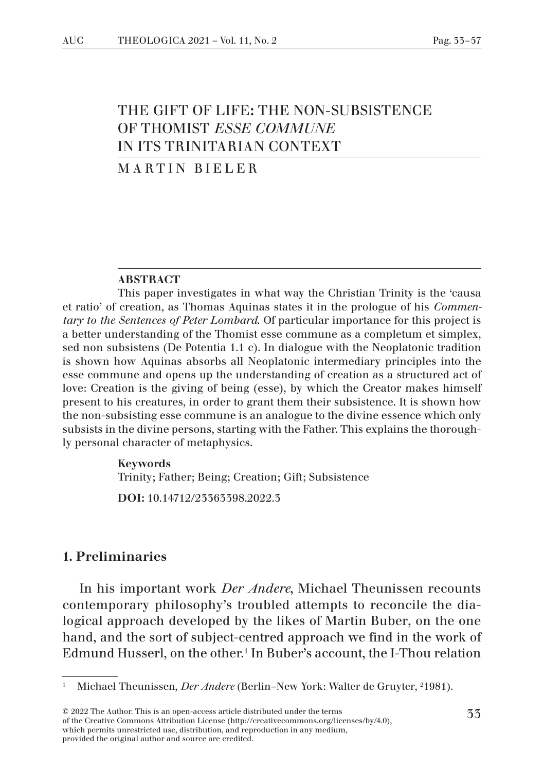# THE GIFT OF LIFE: THE NON-SUBSISTENCE OF THOMIST *ESSE COMMUNE* IN ITS TRINITARIAN CONTEXT

### MARTIN BIELER

#### ABSTRACT

This paper investigates in what way the Christian Trinity is the 'causa et ratio' of creation, as Thomas Aquinas states it in the prologue of his *Commentary to the Sentences of Peter Lombard*. Of particular importance for this project is a better understanding of the Thomist esse commune as a completum et simplex, sed non subsistens (De Potentia 1.1 c). In dialogue with the Neoplatonic tradition is shown how Aquinas absorbs all Neoplatonic intermediary principles into the esse commune and opens up the understanding of creation as a structured act of love: Creation is the giving of being (esse), by which the Creator makes himself present to his creatures, in order to grant them their subsistence. It is shown how the non-subsisting esse commune is an analogue to the divine essence which only subsists in the divine persons, starting with the Father. This explains the thoroughly personal character of metaphysics.

#### Keywords

Trinity; Father; Being; Creation; Gift; Subsistence

DOI: 10.14712/23363398.2022.3

### 1. Preliminaries

In his important work *Der Andere*, Michael Theunissen recounts contemporary philosophy's troubled attempts to reconcile the dialogical approach developed by the likes of Martin Buber, on the one hand, and the sort of subject-centred approach we find in the work of Edmund Husserl, on the other.<sup>1</sup> In Buber's account, the I-Thou relation

<sup>&</sup>lt;sup>1</sup> Michael Theunissen, *Der Andere* (Berlin–New York: Walter de Gruyter, <sup>2</sup>1981).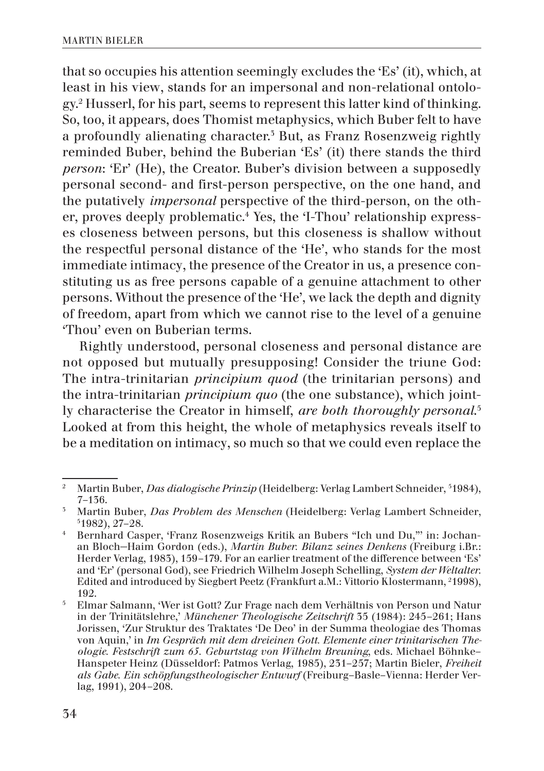that so occupies his attention seemingly excludes the 'Es' (it), which, at least in his view, stands for an impersonal and non-relational ontology.2 Husserl, for his part, seems to represent this latter kind of thinking. So, too, it appears, does Thomist metaphysics, which Buber felt to have a profoundly alienating character.<sup>3</sup> But, as Franz Rosenzweig rightly reminded Buber, behind the Buberian 'Es' (it) there stands the third *person*: 'Er' (He), the Creator. Buber's division between a supposedly personal second- and first-person perspective, on the one hand, and the putatively *impersonal* perspective of the third-person, on the other, proves deeply problematic.4 Yes, the 'I-Thou' relationship expresses closeness between persons, but this closeness is shallow without the respectful personal distance of the 'He', who stands for the most immediate intimacy, the presence of the Creator in us, a presence constituting us as free persons capable of a genuine attachment to other persons. Without the presence of the 'He', we lack the depth and dignity of freedom, apart from which we cannot rise to the level of a genuine 'Thou' even on Buberian terms.

Rightly understood, personal closeness and personal distance are not opposed but mutually presupposing! Consider the triune God: The intra-trinitarian *principium quod* (the trinitarian persons) and the intra-trinitarian *principium quo* (the one substance), which jointly characterise the Creator in himself, *are both thoroughly personal*. 5 Looked at from this height, the whole of metaphysics reveals itself to be a meditation on intimacy, so much so that we could even replace the

<sup>2</sup> Martin Buber, *Das dialogische Prinzip* (Heidelberg: Verlag Lambert Schneider, 5 1984), 7–136.

<sup>&</sup>lt;sup>5</sup> Martin Buber, *Das Problem des Menschen* (Heidelberg: Verlag Lambert Schneider,  $51982$ ,  $27-28$ .

<sup>4</sup> Bernhard Casper, 'Franz Rosenzweigs Kritik an Bubers "Ich und Du,"' in: Jochanan Bloch−Haim Gordon (eds.), *Martin Buber. Bilanz seines Denkens* (Freiburg i.Br.: Herder Verlag, 1983), 159–179. For an earlier treatment of the difference between 'Es' and 'Er' (personal God), see Friedrich Wilhelm Joseph Schelling, *System der Weltalter.*  Edited and introduced by Siegbert Peetz (Frankfurt a.M.: Vittorio Klostermann, 2 1998), 192.

<sup>5</sup> Elmar Salmann, 'Wer ist Gott? Zur Frage nach dem Verhältnis von Person und Natur in der Trinitätslehre,' *Münchener Theologische Zeitschrift* 35 (1984): 245–261; Hans Jorissen, 'Zur Struktur des Traktates 'De Deo' in der Summa theologiae des Thomas von Aquin,' in *Im Gespräch mit dem dreieinen Gott. Elemente einer trinitarischen Theologie. Festschrift zum 65. Geburtstag von Wilhelm Breuning*, eds. Michael Böhnke– Hanspeter Heinz (Düsseldorf: Patmos Verlag, 1985), 231–257; Martin Bieler, *Freiheit als Gabe. Ein schöpfungstheologischer Entwurf* (Freiburg–Basle–Vienna: Herder Verlag, 1991), 204–208.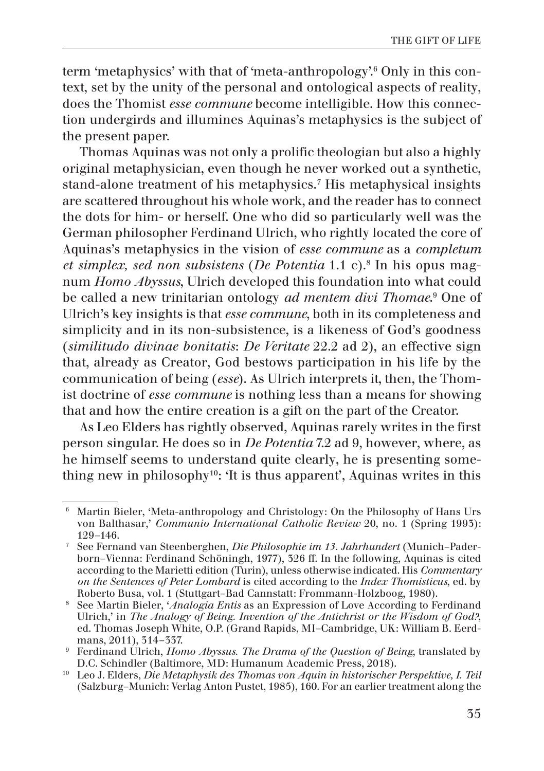term 'metaphysics' with that of 'meta-anthropology'.6 Only in this context, set by the unity of the personal and ontological aspects of reality, does the Thomist *esse commune* become intelligible. How this connection undergirds and illumines Aquinas's metaphysics is the subject of the present paper.

Thomas Aquinas was not only a prolific theologian but also a highly original metaphysician, even though he never worked out a synthetic, stand-alone treatment of his metaphysics.7 His metaphysical insights are scattered throughout his whole work, and the reader has to connect the dots for him- or herself. One who did so particularly well was the German philosopher Ferdinand Ulrich, who rightly located the core of Aquinas's metaphysics in the vision of *esse commune* as a *completum et simplex, sed non subsistens* (*De Potentia* 1.1 c).8 In his opus magnum *Homo Abyssus*, Ulrich developed this foundation into what could be called a new trinitarian ontology *ad mentem divi Thomae*.<sup>9</sup> One of Ulrich's key insights is that *esse commune*, both in its completeness and simplicity and in its non-subsistence, is a likeness of God's goodness (*similitudo divinae bonitatis*: *De Veritate* 22.2 ad 2), an effective sign that, already as Creator, God bestows participation in his life by the communication of being (*esse*). As Ulrich interprets it, then, the Thomist doctrine of *esse commune* is nothing less than a means for showing that and how the entire creation is a gift on the part of the Creator.

As Leo Elders has rightly observed, Aquinas rarely writes in the first person singular. He does so in *De Potentia* 7.2 ad 9, however, where, as he himself seems to understand quite clearly, he is presenting something new in philosophy<sup>10</sup>: 'It is thus apparent', Aquinas writes in this

<sup>6</sup> Martin Bieler, 'Meta-anthropology and Christology: On the Philosophy of Hans Urs von Balthasar,' *Communio International Catholic Review* 20, no. 1 (Spring 1993): 129–146.

<sup>7</sup> See Fernand van Steenberghen, *Die Philosophie im 13. Jahrhundert* (Munich–Paderborn–Vienna: Ferdinand Schöningh, 1977), 326 ff. In the following, Aquinas is cited according to the Marietti edition (Turin), unless otherwise indicated. His *Commentary on the Sentences of Peter Lombard* is cited according to the *Index Thomisticus*, ed. by Roberto Busa, vol. 1 (Stuttgart–Bad Cannstatt: Frommann-Holzboog, 1980).

<sup>8</sup> See Martin Bieler, '*Analogia Entis* as an Expression of Love According to Ferdinand Ulrich,' in *The Analogy of Being. Invention of the Antichrist or the Wisdom of God?*, ed. Thomas Joseph White, O.P. (Grand Rapids, MI–Cambridge, UK: William B. Eerdmans, 2011), 314–337.

<sup>9</sup> Ferdinand Ulrich, *Homo Abyssus. The Drama of the Question of Being*, translated by D.C. Schindler (Baltimore, MD: Humanum Academic Press, 2018).

<sup>10</sup> Leo J. Elders, *Die Metaphysik des Thomas von Aquin in historischer Perspektive, I. Teil* (Salzburg–Munich: Verlag Anton Pustet, 1985), 160. For an earlier treatment along the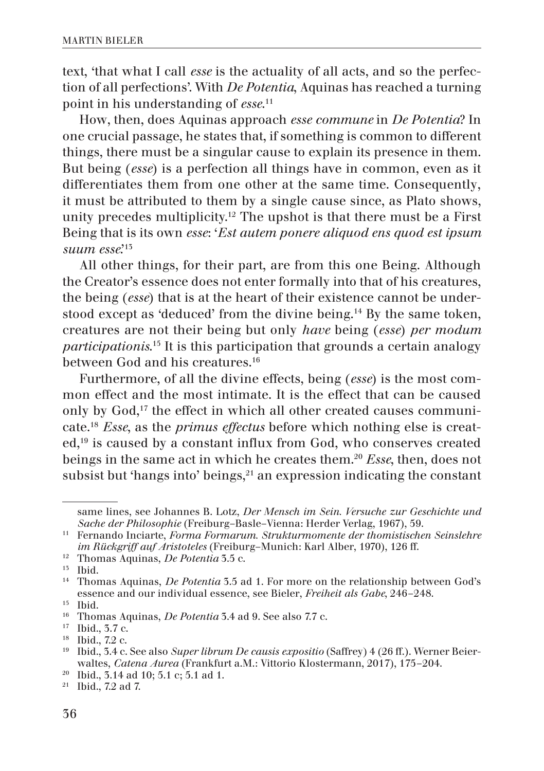text, 'that what I call *esse* is the actuality of all acts, and so the perfection of all perfections'. With *De Potentia*, Aquinas has reached a turning point in his understanding of *esse*. 11

How, then, does Aquinas approach *esse commune* in *De Potentia*? In one crucial passage, he states that, if something is common to different things, there must be a singular cause to explain its presence in them. But being (*esse*) is a perfection all things have in common, even as it differentiates them from one other at the same time. Consequently, it must be attributed to them by a single cause since, as Plato shows, unity precedes multiplicity.12 The upshot is that there must be a First Being that is its own *esse*: '*Est autem ponere aliquod ens quod est ipsum*  suum esse<sup>'15</sup>

All other things, for their part, are from this one Being. Although the Creator's essence does not enter formally into that of his creatures, the being (*esse*) that is at the heart of their existence cannot be understood except as 'deduced' from the divine being.14 By the same token, creatures are not their being but only *have* being (*esse*) *per modum participationis*. 15 It is this participation that grounds a certain analogy between God and his creatures.16

Furthermore, of all the divine effects, being (*esse*) is the most common effect and the most intimate. It is the effect that can be caused only by God,17 the effect in which all other created causes communicate.18 *Esse*, as the *primus effectus* before which nothing else is created,19 is caused by a constant influx from God, who conserves created beings in the same act in which he creates them.20 *Esse*, then, does not subsist but 'hangs into' beings, $21$  an expression indicating the constant

<sup>12</sup> Thomas Aquinas, *De Potentia* 3.5 c.

same lines, see Johannes B. Lotz, *Der Mensch im Sein. Versuche zur Geschichte und Sache der Philosophie* (Freiburg–Basle–Vienna: Herder Verlag, 1967), 59.

<sup>11</sup> Fernando Inciarte, *Forma Formarum. Strukturmomente der thomistischen Seinslehre im Rückgriff auf Aristoteles* (Freiburg–Munich: Karl Alber, 1970), 126 ff.

<sup>13</sup> Ibid.

<sup>14</sup> Thomas Aquinas, *De Potentia* 3.5 ad 1. For more on the relationship between God's essence and our individual essence, see Bieler, *Freiheit als Gabe*, 246–248.

<sup>15</sup> Ibid.

<sup>16</sup> Thomas Aquinas, *De Potentia* 3.4 ad 9. See also 7.7 c.

<sup>17</sup> Ibid., 3.7 c.

 $18$  Ibid., 7.2 c.

<sup>19</sup> Ibid., 3.4 c. See also *Super librum De causis expositio* (Saffrey) 4 (26 ff.). Werner Beierwaltes, *Catena Aurea* (Frankfurt a.M.: Vittorio Klostermann, 2017), 175–204.

<sup>20</sup> Ibid., 3.14 ad 10; 5.1 c; 5.1 ad 1.

 $21$  Ibid., 7.2 ad 7.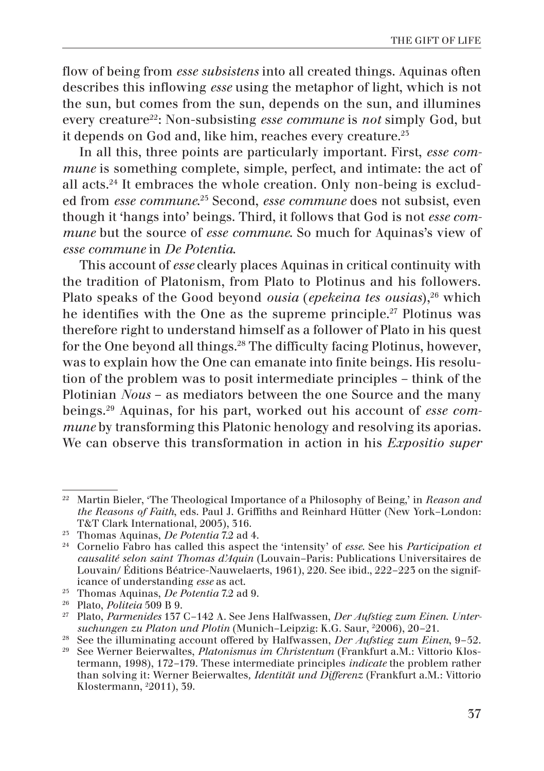flow of being from *esse subsistens* into all created things. Aquinas often describes this inflowing *esse* using the metaphor of light, which is not the sun, but comes from the sun, depends on the sun, and illumines every creature22: Non-subsisting *esse commune* is *not* simply God, but it depends on God and, like him, reaches every creature.<sup>25</sup>

In all this, three points are particularly important. First, *esse commune* is something complete, simple, perfect, and intimate: the act of all acts.24 It embraces the whole creation. Only non-being is excluded from *esse commune*. 25 Second, *esse commune* does not subsist, even though it 'hangs into' beings. Third, it follows that God is not *esse commune* but the source of *esse commune*. So much for Aquinas's view of *esse commune* in *De Potentia*.

This account of *esse* clearly places Aquinas in critical continuity with the tradition of Platonism, from Plato to Plotinus and his followers. Plato speaks of the Good beyond *ousia* (*epekeina tes ousias*),<sup>26</sup> which he identifies with the One as the supreme principle.<sup>27</sup> Plotinus was therefore right to understand himself as a follower of Plato in his quest for the One beyond all things.<sup>28</sup> The difficulty facing Plotinus, however, was to explain how the One can emanate into finite beings. His resolution of the problem was to posit intermediate principles – think of the Plotinian *Nous* – as mediators between the one Source and the many beings.29 Aquinas, for his part, worked out his account of *esse commune* by transforming this Platonic henology and resolving its aporias. We can observe this transformation in action in his *Expositio super* 

<sup>22</sup> Martin Bieler, 'The Theological Importance of a Philosophy of Being,' in *Reason and the Reasons of Faith*, eds. Paul J. Griffiths and Reinhard Hütter (New York–London: T&T Clark International, 2005), 316.

<sup>23</sup> Thomas Aquinas, *De Potentia* 7.2 ad 4.

<sup>24</sup> Cornelio Fabro has called this aspect the 'intensity' of *esse*. See his *Participation et causalité selon saint Thomas d'Aquin* (Louvain–Paris: Publications Universitaires de Louvain/ Éditions Béatrice-Nauwelaerts, 1961), 220. See ibid., 222–223 on the significance of understanding *esse* as act.

<sup>25</sup> Thomas Aquinas, *De Potentia* 7.2 ad 9.

<sup>26</sup> Plato, *Politeia* 509 B 9.

<sup>27</sup> Plato, *Parmenides* 137 C–142 A. See Jens Halfwassen, *Der Aufstieg zum Einen. Unter*suchungen zu Platon und Plotin (Munich–Leipzig: K.G. Saur, <sup>2</sup>2006), 20–21.

<sup>&</sup>lt;sup>28</sup> See the illuminating account offered by Halfwassen, *Der Aufstieg zum Einen*, 9–52.

<sup>29</sup> See Werner Beierwaltes, *Platonismus im Christentum* (Frankfurt a.M.: Vittorio Klostermann, 1998), 172–179. These intermediate principles *indicate* the problem rather than solving it: Werner Beierwaltes*, Identität und Differenz* (Frankfurt a.M.: Vittorio Klostermann, 2 2011), 39.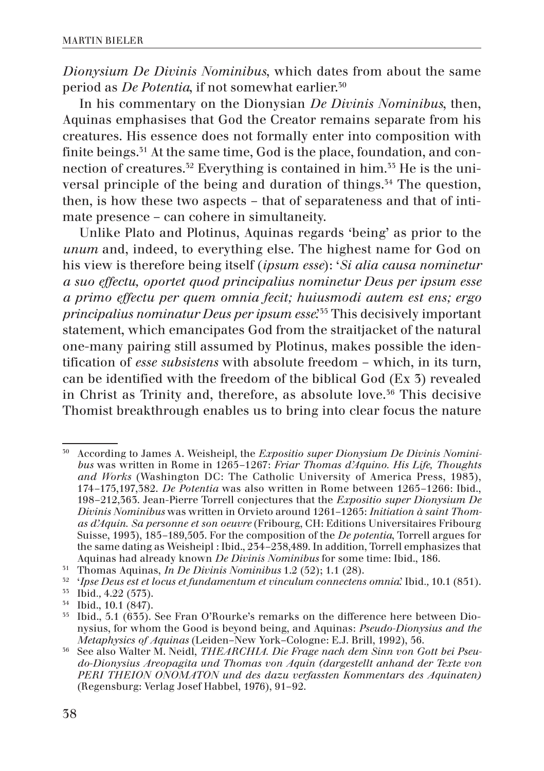*Dionysium De Divinis Nominibus*, which dates from about the same period as *De Potentia*, if not somewhat earlier.30

In his commentary on the Dionysian *De Divinis Nominibus*, then, Aquinas emphasises that God the Creator remains separate from his creatures. His essence does not formally enter into composition with finite beings.<sup>31</sup> At the same time, God is the place, foundation, and connection of creatures.<sup>32</sup> Everything is contained in him.<sup>33</sup> He is the universal principle of the being and duration of things.<sup>34</sup> The question, then, is how these two aspects – that of separateness and that of intimate presence – can cohere in simultaneity.

Unlike Plato and Plotinus, Aquinas regards 'being' as prior to the *unum* and, indeed, to everything else. The highest name for God on his view is therefore being itself (*ipsum esse*): '*Si alia causa nominetur a suo effectu, oportet quod principalius nominetur Deus per ipsum esse a primo effectu per quem omnia fecit; huiusmodi autem est ens; ergo principalius nominatur Deus per ipsum esse*.'35 This decisively important statement, which emancipates God from the straitjacket of the natural one-many pairing still assumed by Plotinus, makes possible the identification of *esse subsistens* with absolute freedom – which, in its turn, can be identified with the freedom of the biblical God (Ex 3) revealed in Christ as Trinity and, therefore, as absolute love.<sup>36</sup> This decisive Thomist breakthrough enables us to bring into clear focus the nature

<sup>30</sup> According to James A. Weisheipl, the *Expositio super Dionysium De Divinis Nominibus* was written in Rome in 1265–1267: *Friar Thomas d'Aquino. His Life, Thoughts and Works* (Washington DC: The Catholic University of America Press, 1983), 174–175,197,382. *De Potentia* was also written in Rome between 1265–1266: Ibid., 198–212,363. Jean-Pierre Torrell conjectures that the *Expositio super Dionysium De Divinis Nominibus* was written in Orvieto around 1261–1265: *Initiation à saint Thomas d'Aquin. Sa personne et son oeuvre* (Fribourg, CH: Editions Universitaires Fribourg Suisse, 1993), 185–189,505. For the composition of the *De potentia*, Torrell argues for the same dating as Weisheipl : Ibid., 234–238,489. In addition, Torrell emphasizes that Aquinas had already known *De Divinis Nominibus* for some time: Ibid., 186.

<sup>31</sup> Thomas Aquinas, *In De Divinis Nominibus* 1.2 (52); 1.1 (28).

<sup>32</sup> '*Ipse Deus est et locus et fundamentum et vinculum connectens omnia*.' Ibid*.,* 10.1 (851).

<sup>33</sup> Ibid*.,* 4.22 (573).

 $\frac{54}{55}$  Ibid., 10.1 (847).

<sup>35</sup> Ibid., 5.1 (635). See Fran O'Rourke's remarks on the difference here between Dionysius, for whom the Good is beyond being, and Aquinas: *Pseudo-Dionysius and the Metaphysics of Aquinas* (Leiden–New York–Cologne: E.J. Brill, 1992), 56.

<sup>36</sup> See also Walter M. Neidl, *THEARCHIA. Die Frage nach dem Sinn von Gott bei Pseudo-Dionysius Areopagita und Thomas von Aquin (dargestellt anhand der Texte von PERI THEION ONOMATON und des dazu verfassten Kommentars des Aquinaten)* (Regensburg: Verlag Josef Habbel, 1976), 91–92.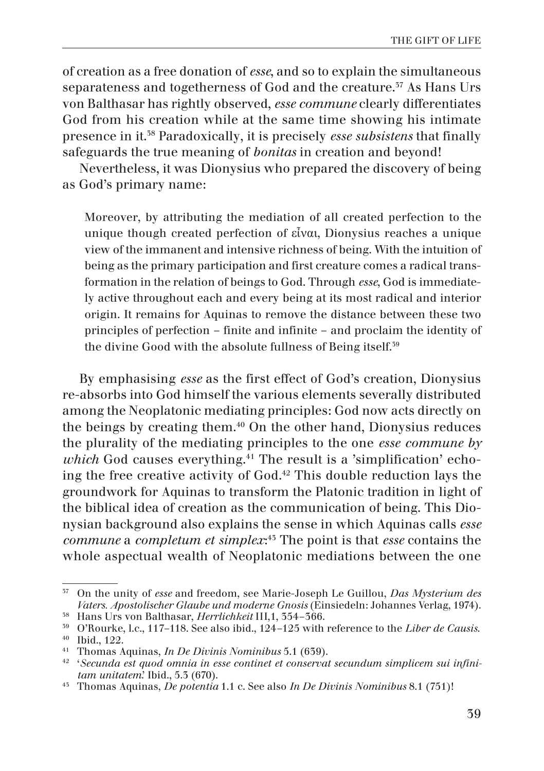of creation as a free donation of *esse*, and so to explain the simultaneous separateness and togetherness of God and the creature.<sup>37</sup> As Hans Urs von Balthasar has rightly observed, *esse commune* clearly differentiates God from his creation while at the same time showing his intimate presence in it.38 Paradoxically, it is precisely *esse subsistens* that finally safeguards the true meaning of *bonitas* in creation and beyond!

Nevertheless, it was Dionysius who prepared the discovery of being as God's primary name:

Moreover, by attributing the mediation of all created perfection to the unique though created perfection of εἶναι, Dionysius reaches a unique view of the immanent and intensive richness of being. With the intuition of being as the primary participation and first creature comes a radical transformation in the relation of beings to God. Through *esse*, God is immediately active throughout each and every being at its most radical and interior origin. It remains for Aquinas to remove the distance between these two principles of perfection – finite and infinite – and proclaim the identity of the divine Good with the absolute fullness of Being itself.39

By emphasising *esse* as the first effect of God's creation, Dionysius re-absorbs into God himself the various elements severally distributed among the Neoplatonic mediating principles: God now acts directly on the beings by creating them.<sup>40</sup> On the other hand, Dionysius reduces the plurality of the mediating principles to the one *esse commune by which* God causes everything.<sup>41</sup> The result is a 'simplification' echoing the free creative activity of God.42 This double reduction lays the groundwork for Aquinas to transform the Platonic tradition in light of the biblical idea of creation as the communication of being. This Dionysian background also explains the sense in which Aquinas calls *esse commune* a *completum et simplex*: 43 The point is that *esse* contains the whole aspectual wealth of Neoplatonic mediations between the one

<sup>37</sup> On the unity of *esse* and freedom, see Marie-Joseph Le Guillou, *Das Mysterium des Vaters. Apostolischer Glaube und moderne Gnosis* (Einsiedeln: Johannes Verlag, 1974).

<sup>38</sup> Hans Urs von Balthasar, *Herrlichkeit* III,1, 354–366.

<sup>39</sup> O'Rourke, l.c., 117–118. See also ibid., 124–125 with reference to the *Liber de Causis*. <sup>40</sup> Ibid., 122.

<sup>41</sup> Thomas Aquinas, *In De Divinis Nominibus* 5.1 (639).

<sup>42</sup> '*Secunda est quod omnia in esse continet et conservat secundum simplicem sui infinitam unitatem*.' Ibid., 5.3 (670).

<sup>43</sup> Thomas Aquinas, *De potentia* 1.1 c. See also *In De Divinis Nominibus* 8.1 (751)!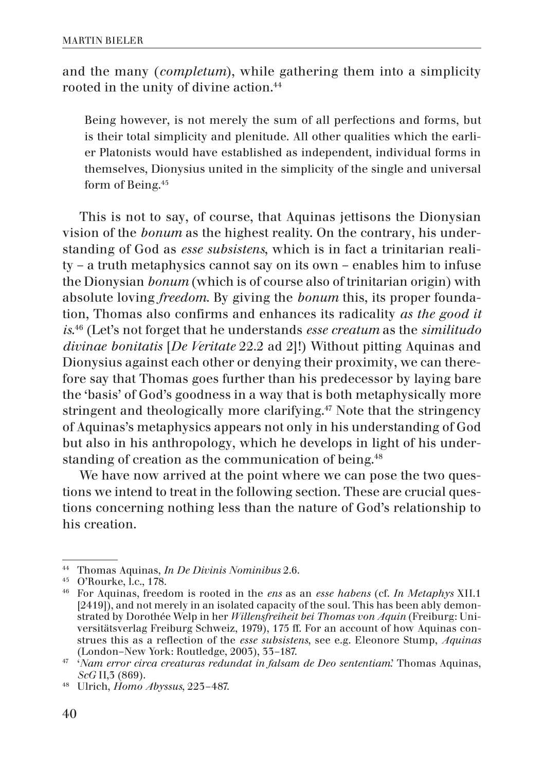and the many (*completum*), while gathering them into a simplicity rooted in the unity of divine action.44

Being however, is not merely the sum of all perfections and forms, but is their total simplicity and plenitude. All other qualities which the earlier Platonists would have established as independent, individual forms in themselves, Dionysius united in the simplicity of the single and universal form of Being.45

This is not to say, of course, that Aquinas jettisons the Dionysian vision of the *bonum* as the highest reality. On the contrary, his understanding of God as *esse subsistens*, which is in fact a trinitarian reality – a truth metaphysics cannot say on its own – enables him to infuse the Dionysian *bonum* (which is of course also of trinitarian origin) with absolute loving *freedom*. By giving the *bonum* this, its proper foundation, Thomas also confirms and enhances its radicality *as the good it is*. 46 (Let's not forget that he understands *esse creatum* as the *similitudo divinae bonitatis* [*De Veritate* 22.2 ad 2]!) Without pitting Aquinas and Dionysius against each other or denying their proximity, we can therefore say that Thomas goes further than his predecessor by laying bare the 'basis' of God's goodness in a way that is both metaphysically more stringent and theologically more clarifying.<sup>47</sup> Note that the stringency of Aquinas's metaphysics appears not only in his understanding of God but also in his anthropology, which he develops in light of his understanding of creation as the communication of being.<sup>48</sup>

We have now arrived at the point where we can pose the two questions we intend to treat in the following section. These are crucial questions concerning nothing less than the nature of God's relationship to his creation.

<sup>44</sup> Thomas Aquinas, *In De Divinis Nominibus* 2.6.

<sup>45</sup> O'Rourke, l.c., 178.

<sup>46</sup> For Aquinas, freedom is rooted in the *ens* as an *esse habens* (cf. *In Metaphys* XII.1 [2419]), and not merely in an isolated capacity of the soul. This has been ably demonstrated by Dorothée Welp in her *Willensfreiheit bei Thomas von Aquin* (Freiburg: Universitätsverlag Freiburg Schweiz, 1979), 175 ff. For an account of how Aquinas construes this as a reflection of the *esse subsistens*, see e.g. Eleonore Stump, *Aquinas* (London–New York: Routledge, 2003), 33–187.

<sup>47</sup> '*Nam error circa creaturas redundat in falsam de Deo sententiam*.' Thomas Aquinas, *ScG* II,3 (869).

<sup>48</sup> Ulrich, *Homo Abyssus*, 223–487.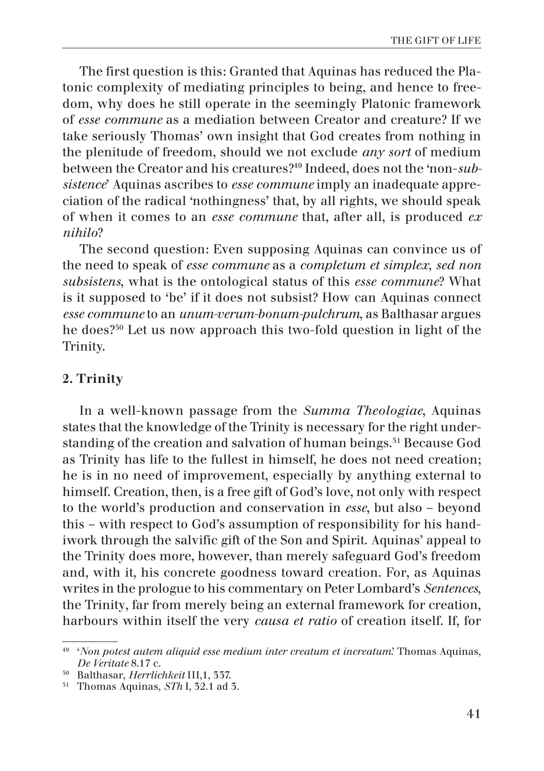The first question is this: Granted that Aquinas has reduced the Platonic complexity of mediating principles to being, and hence to freedom, why does he still operate in the seemingly Platonic framework of *esse commune* as a mediation between Creator and creature? If we take seriously Thomas' own insight that God creates from nothing in the plenitude of freedom, should we not exclude *any sort* of medium between the Creator and his creatures?49 Indeed, does not the 'non-*subsistence*' Aquinas ascribes to *esse commune* imply an inadequate appreciation of the radical 'nothingness' that, by all rights, we should speak of when it comes to an *esse commune* that, after all, is produced *ex nihilo*?

The second question: Even supposing Aquinas can convince us of the need to speak of *esse commune* as a *completum et simplex, sed non subsistens*, what is the ontological status of this *esse commune*? What is it supposed to 'be' if it does not subsist? How can Aquinas connect *esse commune* to an *unum-verum-bonum-pulchrum*, as Balthasar argues he does?50 Let us now approach this two-fold question in light of the Trinity.

# 2. Trinity

In a well-known passage from the *Summa Theologiae*, Aquinas states that the knowledge of the Trinity is necessary for the right understanding of the creation and salvation of human beings.<sup>51</sup> Because God as Trinity has life to the fullest in himself, he does not need creation; he is in no need of improvement, especially by anything external to himself. Creation, then, is a free gift of God's love, not only with respect to the world's production and conservation in *esse*, but also – beyond this – with respect to God's assumption of responsibility for his handiwork through the salvific gift of the Son and Spirit. Aquinas' appeal to the Trinity does more, however, than merely safeguard God's freedom and, with it, his concrete goodness toward creation. For, as Aquinas writes in the prologue to his commentary on Peter Lombard's *Sentences*, the Trinity, far from merely being an external framework for creation, harbours within itself the very *causa et ratio* of creation itself. If, for

<sup>49</sup> '*Non potest autem aliquid esse medium inter creatum et increatum*.' Thomas Aquinas, *De Veritate* 8.17 c.

<sup>50</sup> Balthasar, *Herrlichkeit* III,1, 337.

<sup>51</sup> Thomas Aquinas, *STh* I, 32.1 ad 3.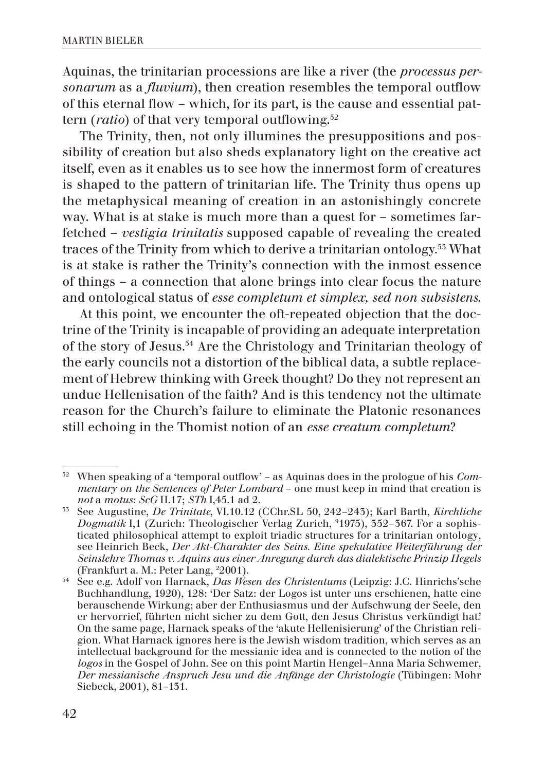Aquinas, the trinitarian processions are like a river (the *processus personarum* as a *fluvium*), then creation resembles the temporal outflow of this eternal flow – which, for its part, is the cause and essential pattern *(ratio)* of that very temporal outflowing.<sup>52</sup>

The Trinity, then, not only illumines the presuppositions and possibility of creation but also sheds explanatory light on the creative act itself, even as it enables us to see how the innermost form of creatures is shaped to the pattern of trinitarian life. The Trinity thus opens up the metaphysical meaning of creation in an astonishingly concrete way. What is at stake is much more than a quest for – sometimes farfetched – *vestigia trinitatis* supposed capable of revealing the created traces of the Trinity from which to derive a trinitarian ontology.53 What is at stake is rather the Trinity's connection with the inmost essence of things – a connection that alone brings into clear focus the nature and ontological status of *esse completum et simplex, sed non subsistens*.

At this point, we encounter the oft-repeated objection that the doctrine of the Trinity is incapable of providing an adequate interpretation of the story of Jesus.54 Are the Christology and Trinitarian theology of the early councils not a distortion of the biblical data, a subtle replacement of Hebrew thinking with Greek thought? Do they not represent an undue Hellenisation of the faith? And is this tendency not the ultimate reason for the Church's failure to eliminate the Platonic resonances still echoing in the Thomist notion of an *esse creatum completum*?

<sup>52</sup> When speaking of a 'temporal outflow' – as Aquinas does in the prologue of his *Commentary on the Sentences of Peter Lombard* – one must keep in mind that creation is *not* a *motus*: *ScG* II.17; *STh* I,45.1 ad 2.

<sup>53</sup> See Augustine, *De Trinitate*, VI.10.12 (CChr.SL 50, 242–243); Karl Barth, *Kirchliche Dogmatik* I,1 (Zurich: Theologischer Verlag Zurich, 9 1975), 352–367. For a sophisticated philosophical attempt to exploit triadic structures for a trinitarian ontology, see Heinrich Beck, *Der Akt-Charakter des Seins. Eine spekulative Weiterführung der Seinslehre Thomas v. Aquins aus einer Anregung durch das dialektische Prinzip Hegels* (Frankfurt a. M.: Peter Lang, 2 2001).

<sup>54</sup> See e.g. Adolf von Harnack, *Das Wesen des Christentums* (Leipzig: J.C. Hinrichs'sche Buchhandlung, 1920), 128: 'Der Satz: der Logos ist unter uns erschienen, hatte eine berauschende Wirkung; aber der Enthusiasmus und der Aufschwung der Seele, den er hervorrief, führten nicht sicher zu dem Gott, den Jesus Christus verkündigt hat.' On the same page, Harnack speaks of the 'akute Hellenisierung' of the Christian religion. What Harnack ignores here is the Jewish wisdom tradition, which serves as an intellectual background for the messianic idea and is connected to the notion of the *logos* in the Gospel of John. See on this point Martin Hengel–Anna Maria Schwemer, *Der messianische Anspruch Jesu und die Anfänge der Christologie* (Tübingen: Mohr Siebeck, 2001), 81–131.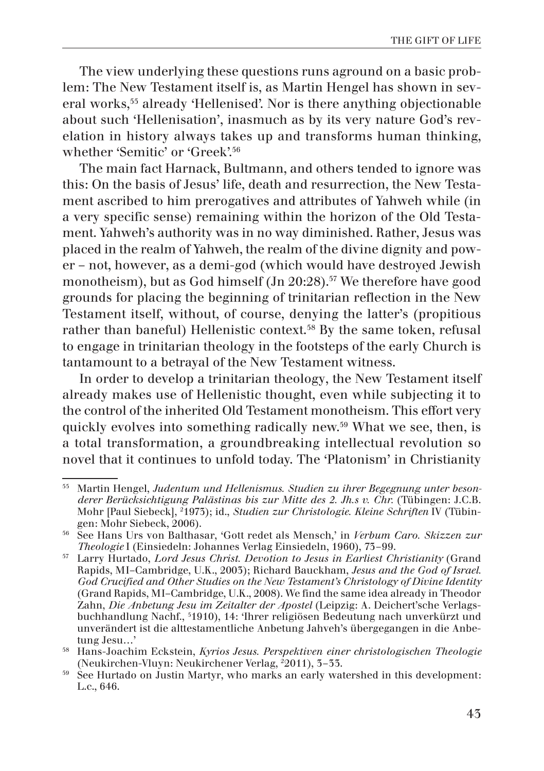The view underlying these questions runs aground on a basic problem: The New Testament itself is, as Martin Hengel has shown in several works,55 already 'Hellenised'. Nor is there anything objectionable about such 'Hellenisation', inasmuch as by its very nature God's revelation in history always takes up and transforms human thinking, whether 'Semitic' or 'Greek'.56

The main fact Harnack, Bultmann, and others tended to ignore was this: On the basis of Jesus' life, death and resurrection, the New Testament ascribed to him prerogatives and attributes of Yahweh while (in a very specific sense) remaining within the horizon of the Old Testament. Yahweh's authority was in no way diminished. Rather, Jesus was placed in the realm of Yahweh, the realm of the divine dignity and power – not, however, as a demi-god (which would have destroyed Jewish monotheism), but as God himself (Jn 20:28).<sup>57</sup> We therefore have good grounds for placing the beginning of trinitarian reflection in the New Testament itself, without, of course, denying the latter's (propitious rather than baneful) Hellenistic context.<sup>58</sup> By the same token, refusal to engage in trinitarian theology in the footsteps of the early Church is tantamount to a betrayal of the New Testament witness.

In order to develop a trinitarian theology, the New Testament itself already makes use of Hellenistic thought, even while subjecting it to the control of the inherited Old Testament monotheism. This effort very quickly evolves into something radically new.59 What we see, then, is a total transformation, a groundbreaking intellectual revolution so novel that it continues to unfold today. The 'Platonism' in Christianity

<sup>55</sup> Martin Hengel, *Judentum und Hellenismus. Studien zu ihrer Begegnung unter besonderer Berücksichtigung Palästinas bis zur Mitte des 2. Jh.s v. Chr.* (Tübingen: J.C.B. Mohr [Paul Siebeck], 2 1973); id., *Studien zur Christologie. Kleine Schriften* IV (Tübingen: Mohr Siebeck, 2006).

<sup>56</sup> See Hans Urs von Balthasar, 'Gott redet als Mensch,' in *Verbum Caro. Skizzen zur Theologie* I (Einsiedeln: Johannes Verlag Einsiedeln, 1960), 73–99.

<sup>57</sup> Larry Hurtado, *Lord Jesus Christ. Devotion to Jesus in Earliest Christianity* (Grand Rapids, MI–Cambridge, U.K., 2003); Richard Bauckham, *Jesus and the God of Israel. God Crucified and Other Studies on the New Testament's Christology of Divine Identity* (Grand Rapids, MI–Cambridge, U.K., 2008). We find the same idea already in Theodor Zahn, *Die Anbetung Jesu im Zeitalter der Apostel* (Leipzig: A. Deichert'sche Verlagsbuchhandlung Nachf., 5 1910), 14: 'Ihrer religiösen Bedeutung nach unverkürzt und unverändert ist die alttestamentliche Anbetung Jahveh's übergegangen in die Anbetung Jesu…'

<sup>58</sup> Hans-Joachim Eckstein, *Kyrios Jesus. Perspektiven einer christologischen Theologie* (Neukirchen-Vluyn: Neukirchener Verlag, 2 2011), 3–33.

<sup>59</sup> See Hurtado on Justin Martyr, who marks an early watershed in this development: L.c., 646.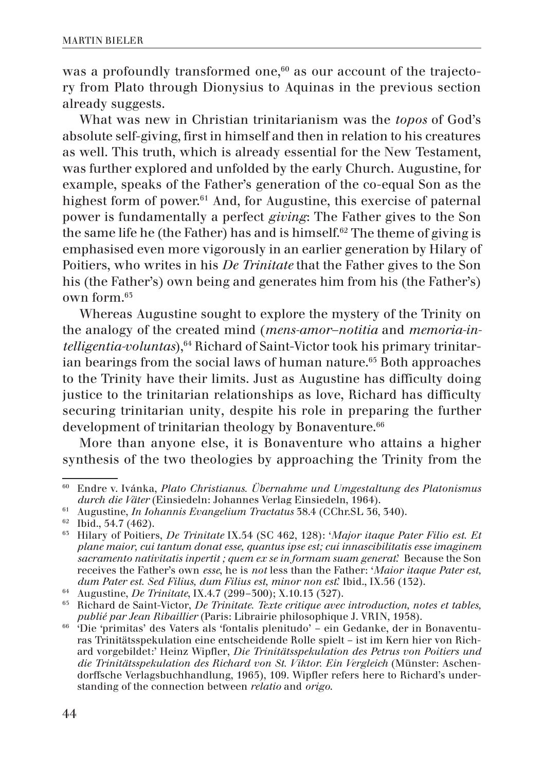was a profoundly transformed one, $60$  as our account of the trajectory from Plato through Dionysius to Aquinas in the previous section already suggests.

What was new in Christian trinitarianism was the *topos* of God's absolute self-giving, first in himself and then in relation to his creatures as well. This truth, which is already essential for the New Testament, was further explored and unfolded by the early Church. Augustine, for example, speaks of the Father's generation of the co-equal Son as the highest form of power.<sup>61</sup> And, for Augustine, this exercise of paternal power is fundamentally a perfect *giving*: The Father gives to the Son the same life he (the Father) has and is himself.<sup>62</sup> The theme of giving is emphasised even more vigorously in an earlier generation by Hilary of Poitiers, who writes in his *De Trinitate* that the Father gives to the Son his (the Father's) own being and generates him from his (the Father's) own form.63

Whereas Augustine sought to explore the mystery of the Trinity on the analogy of the created mind (*mens-amor–notitia* and *memoria-intelligentia-voluntas*),<sup>64</sup> Richard of Saint-Victor took his primary trinitarian bearings from the social laws of human nature.<sup>65</sup> Both approaches to the Trinity have their limits. Just as Augustine has difficulty doing justice to the trinitarian relationships as love, Richard has difficulty securing trinitarian unity, despite his role in preparing the further development of trinitarian theology by Bonaventure.<sup>66</sup>

More than anyone else, it is Bonaventure who attains a higher synthesis of the two theologies by approaching the Trinity from the

<sup>60</sup> Endre v. Ivánka, *Plato Christianus. Übernahme und Umgestaltung des Platonismus durch die Väter* (Einsiedeln: Johannes Verlag Einsiedeln, 1964).

<sup>61</sup> Augustine, *In Iohannis Evangelium Tractatus* 38.4 (CChr.SL 36, 340).

 $\frac{62}{65}$  Ibid., 54.7 (462).

<sup>63</sup> Hilary of Poitiers, *De Trinitate* IX.54 (SC 462, 128): '*Major itaque Pater Filio est. Et plane maior, cui tantum donat esse, quantus ipse est; cui innascibilitatis esse imaginem sacramento nativitatis inpertit ; quem ex se in formam suam generat*.' Because the Son receives the Father's own *esse*, he is *not* less than the Father: '*Maior itaque Pater est, dum Pater est. Sed Filius, dum Filius est, minor non est*.' Ibid., IX.56 (132).

<sup>64</sup> Augustine, *De Trinitate*, IX.4.7 (299–300); X.10.13 (327).

<sup>65</sup> Richard de Saint-Victor, *De Trinitate. Texte critique avec introduction, notes et tables, publié par Jean Ribaillier* (Paris: Librairie philosophique J. VRIN, 1958).

<sup>66</sup> 'Die 'primitas' des Vaters als 'fontalis plenitudo' – ein Gedanke, der in Bonaventuras Trinitätsspekulation eine entscheidende Rolle spielt – ist im Kern hier von Richard vorgebildet:' Heinz Wipfler, *Die Trinitätsspekulation des Petrus von Poitiers und die Trinitätsspekulation des Richard von St. Viktor. Ein Vergleich* (Münster: Aschendorffsche Verlagsbuchhandlung, 1965), 109. Wipfler refers here to Richard's understanding of the connection between *relatio* and *origo*.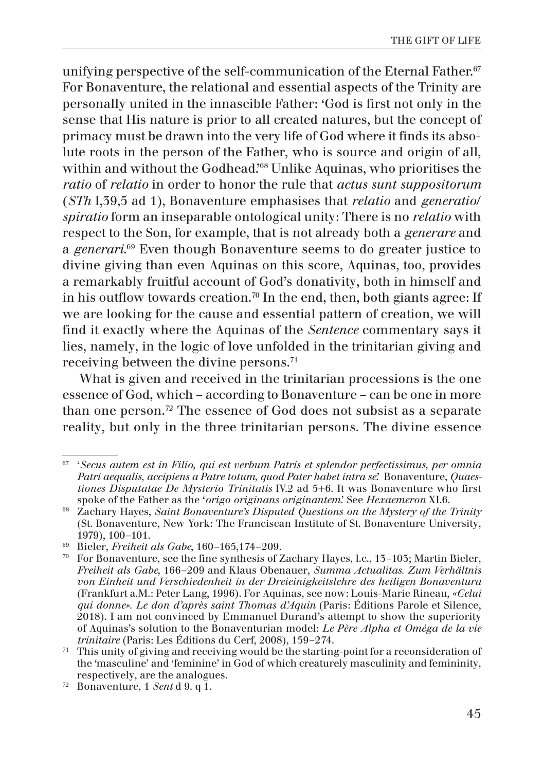unifying perspective of the self-communication of the Eternal Father.<sup>67</sup> For Bonaventure, the relational and essential aspects of the Trinity are personally united in the innascible Father: 'God is first not only in the sense that His nature is prior to all created natures, but the concept of primacy must be drawn into the very life of God where it finds its absolute roots in the person of the Father, who is source and origin of all, within and without the Godhead.'68 Unlike Aquinas, who prioritises the *ratio* of *relatio* in order to honor the rule that *actus sunt suppositorum* (*STh* I,39,5 ad 1), Bonaventure emphasises that *relatio* and *generatio*/ *spiratio* form an inseparable ontological unity: There is no *relatio* with respect to the Son, for example, that is not already both a *generare* and a *generari*. 69 Even though Bonaventure seems to do greater justice to divine giving than even Aquinas on this score, Aquinas, too, provides a remarkably fruitful account of God's donativity, both in himself and in his outflow towards creation.<sup>70</sup> In the end, then, both giants agree: If we are looking for the cause and essential pattern of creation, we will find it exactly where the Aquinas of the *Sentence* commentary says it lies, namely, in the logic of love unfolded in the trinitarian giving and receiving between the divine persons.71

What is given and received in the trinitarian processions is the one essence of God, which – according to Bonaventure – can be one in more than one person.72 The essence of God does not subsist as a separate reality, but only in the three trinitarian persons. The divine essence

<sup>67</sup> '*Secus autem est in Filio, qui est verbum Patris et splendor perfectissimus, per omnia Patri aequalis, accipiens a Patre totum, quod Pater habet intra se*.' Bonaventure, *Quaestiones Disputatae De Mysterio Trinitatis* IV.2 ad 5+6. It was Bonaventure who first spoke of the Father as the '*origo originans originantem*.' See *Hexaemeron* XI.6.

<sup>68</sup> Zachary Hayes, *Saint Bonaventure's Disputed Questions on the Mystery of the Trinity* (St. Bonaventure, New York: The Franciscan Institute of St. Bonaventure University, 1979), 100–101.

<sup>69</sup> Bieler, *Freiheit als Gabe*, 160–165,174–209.

<sup>70</sup> For Bonaventure, see the fine synthesis of Zachary Hayes, l.c., 13–103; Martin Bieler, *Freiheit als Gabe*, 166–209 and Klaus Obenauer, *Summa Actualitas. Zum Verhältnis von Einheit und Verschiedenheit in der Dreieinigkeitslehre des heiligen Bonaventura* (Frankfurt a.M.: Peter Lang, 1996). For Aquinas, see now: Louis-Marie Rineau, *«Celui qui donne». Le don d'après saint Thomas d'Aquin* (Paris: Éditions Parole et Silence, 2018). I am not convinced by Emmanuel Durand's attempt to show the superiority of Aquinas's solution to the Bonaventurian model: *Le Père Alpha et Oméga de la vie trinitaire* (Paris: Les Éditions du Cerf, 2008), 159–274.

 $71$  This unity of giving and receiving would be the starting-point for a reconsideration of the 'masculine' and 'feminine' in God of which creaturely masculinity and femininity, respectively, are the analogues. 72 Bonaventure, <sup>1</sup>*Sent* d 9. q 1.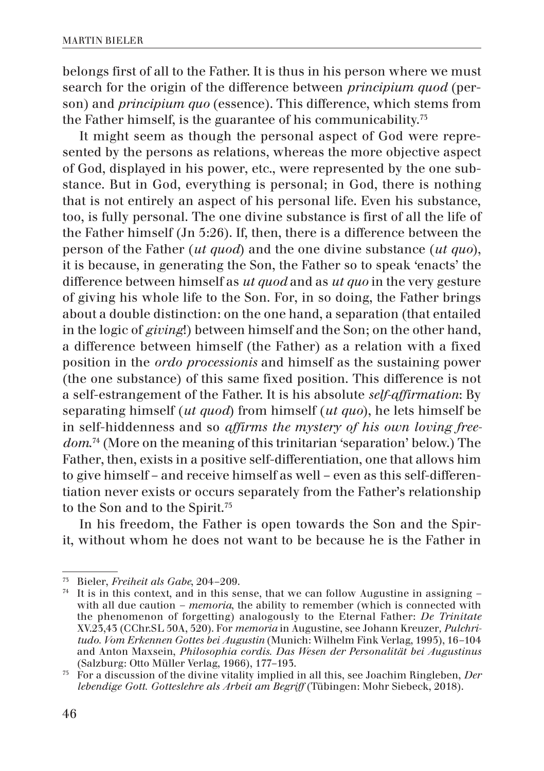belongs first of all to the Father. It is thus in his person where we must search for the origin of the difference between *principium quod* (person) and *principium quo* (essence). This difference, which stems from the Father himself, is the guarantee of his communicability.73

It might seem as though the personal aspect of God were represented by the persons as relations, whereas the more objective aspect of God, displayed in his power, etc., were represented by the one substance. But in God, everything is personal; in God, there is nothing that is not entirely an aspect of his personal life. Even his substance, too, is fully personal. The one divine substance is first of all the life of the Father himself (Jn 5:26). If, then, there is a difference between the person of the Father (*ut quod*) and the one divine substance (*ut quo*), it is because, in generating the Son, the Father so to speak 'enacts' the difference between himself as *ut quod* and as *ut quo* in the very gesture of giving his whole life to the Son. For, in so doing, the Father brings about a double distinction: on the one hand, a separation (that entailed in the logic of *giving*!) between himself and the Son; on the other hand, a difference between himself (the Father) as a relation with a fixed position in the *ordo processionis* and himself as the sustaining power (the one substance) of this same fixed position. This difference is not a self-estrangement of the Father. It is his absolute *self-affirmation*: By separating himself (*ut quod*) from himself (*ut quo*), he lets himself be in self-hiddenness and so *affirms the mystery of his own loving freedom*. 74 (More on the meaning of this trinitarian 'separation' below.) The Father, then, exists in a positive self-differentiation, one that allows him to give himself – and receive himself as well – even as this self-differentiation never exists or occurs separately from the Father's relationship to the Son and to the Spirit.75

In his freedom, the Father is open towards the Son and the Spirit, without whom he does not want to be because he is the Father in

<sup>73</sup> Bieler, *Freiheit als Gabe*, 204–209.

<sup>74</sup> It is in this context, and in this sense, that we can follow Augustine in assigning *–*  with all due caution *– memoria*, the ability to remember (which is connected with the phenomenon of forgetting) analogously to the Eternal Father: *De Trinitate* XV.23,43 (CChr.SL 50A, 520). For *memoria* in Augustine, see Johann Kreuzer*, Pulchritudo. Vom Erkennen Gottes bei Augustin* (Munich: Wilhelm Fink Verlag, 1995), 16–104 and Anton Maxsein, *Philosophia cordis. Das Wesen der Personalität bei Augustinus* (Salzburg: Otto Müller Verlag, 1966), 177–193.

<sup>75</sup> For a discussion of the divine vitality implied in all this, see Joachim Ringleben, *Der lebendige Gott. Gotteslehre als Arbeit am Begriff* (Tübingen: Mohr Siebeck, 2018).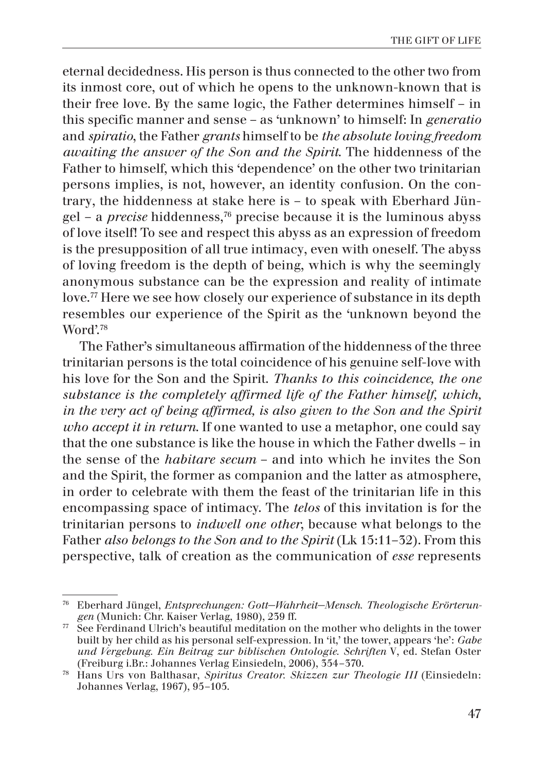eternal decidedness. His person is thus connected to the other two from its inmost core, out of which he opens to the unknown-known that is their free love. By the same logic, the Father determines himself – in this specific manner and sense – as 'unknown' to himself: In *generatio* and *spiratio*, the Father *grants* himself to be *the absolute loving freedom awaiting the answer of the Son and the Spirit*. The hiddenness of the Father to himself, which this 'dependence' on the other two trinitarian persons implies, is not, however, an identity confusion. On the contrary, the hiddenness at stake here is – to speak with Eberhard Jüngel – a *precise* hiddenness,76 precise because it is the luminous abyss of love itself! To see and respect this abyss as an expression of freedom is the presupposition of all true intimacy, even with oneself. The abyss of loving freedom is the depth of being, which is why the seemingly anonymous substance can be the expression and reality of intimate love.77 Here we see how closely our experience of substance in its depth resembles our experience of the Spirit as the 'unknown beyond the Word'.78

The Father's simultaneous affirmation of the hiddenness of the three trinitarian persons is the total coincidence of his genuine self-love with his love for the Son and the Spirit. *Thanks to this coincidence, the one substance is the completely affirmed life of the Father himself, which, in the very act of being affirmed, is also given to the Son and the Spirit who accept it in return*. If one wanted to use a metaphor, one could say that the one substance is like the house in which the Father dwells – in the sense of the *habitare secum* – and into which he invites the Son and the Spirit, the former as companion and the latter as atmosphere, in order to celebrate with them the feast of the trinitarian life in this encompassing space of intimacy. The *telos* of this invitation is for the trinitarian persons to *indwell one other*, because what belongs to the Father *also belongs to the Son and to the Spirit* (Lk 15:11–32). From this perspective, talk of creation as the communication of *esse* represents

<sup>76</sup> Eberhard Jüngel, *Entsprechungen: Gott−Wahrheit−Mensch. Theologische Erörterungen* (Munich: Chr. Kaiser Verlag, 1980), 239 ff.

 $77\degree$  See Ferdinand Ulrich's beautiful meditation on the mother who delights in the tower built by her child as his personal self-expression. In 'it,' the tower, appears 'he': *Gabe und Vergebung. Ein Beitrag zur biblischen Ontologie. Schriften* V, ed. Stefan Oster (Freiburg i.Br.: Johannes Verlag Einsiedeln, 2006), 354–370.

<sup>78</sup> Hans Urs von Balthasar, *Spiritus Creator. Skizzen zur Theologie III* (Einsiedeln: Johannes Verlag, 1967), 95–105.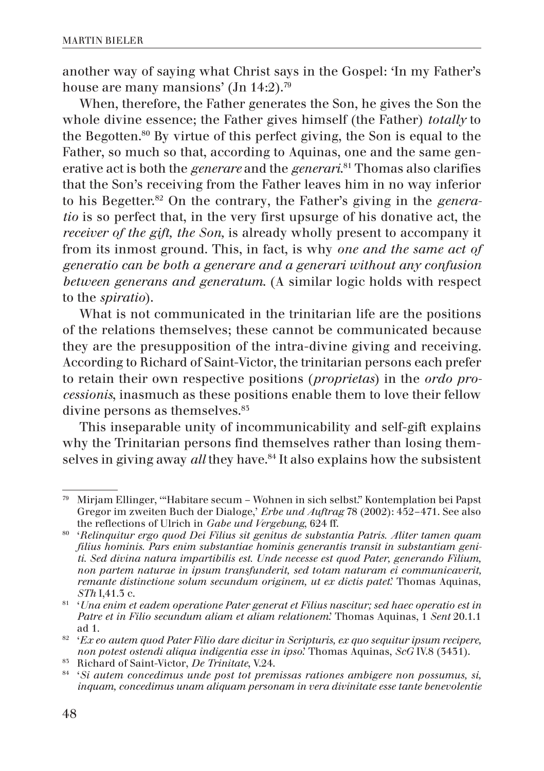another way of saying what Christ says in the Gospel: 'In my Father's house are many mansions' (Jn 14:2).<sup>79</sup>

When, therefore, the Father generates the Son, he gives the Son the whole divine essence; the Father gives himself (the Father) *totally* to the Begotten.80 By virtue of this perfect giving, the Son is equal to the Father, so much so that, according to Aquinas, one and the same generative act is both the *generare* and the *generari*. 81 Thomas also clarifies that the Son's receiving from the Father leaves him in no way inferior to his Begetter.82 On the contrary, the Father's giving in the *generatio* is so perfect that, in the very first upsurge of his donative act, the *receiver of the gift, the Son,* is already wholly present to accompany it from its inmost ground. This, in fact, is why *one and the same act of generatio can be both a generare and a generari without any confusion between generans and generatum*. (A similar logic holds with respect to the *spiratio*).

What is not communicated in the trinitarian life are the positions of the relations themselves; these cannot be communicated because they are the presupposition of the intra-divine giving and receiving. According to Richard of Saint-Victor, the trinitarian persons each prefer to retain their own respective positions (*proprietas*) in the *ordo processionis*, inasmuch as these positions enable them to love their fellow divine persons as themselves.<sup>85</sup>

This inseparable unity of incommunicability and self-gift explains why the Trinitarian persons find themselves rather than losing themselves in giving away *all* they have.<sup>84</sup> It also explains how the subsistent

<sup>79</sup> Mirjam Ellinger, '"Habitare secum – Wohnen in sich selbst." Kontemplation bei Papst Gregor im zweiten Buch der Dialoge,' *Erbe und Auftrag* 78 (2002): 452–471. See also the reflections of Ulrich in *Gabe und Vergebung*, 624 ff.

<sup>80</sup> '*Relinquitur ergo quod Dei Filius sit genitus de substantia Patris. Aliter tamen quam filius hominis. Pars enim substantiae hominis generantis transit in substantiam geniti. Sed divina natura impartibilis est. Unde necesse est quod Pater, generando Filium, non partem naturae in ipsum transfunderit, sed totam naturam ei communicaverit, remante distinctione solum secundum originem, ut ex dictis patet*.' Thomas Aquinas, *STh* I,41.3 c.

<sup>81</sup> '*Una enim et eadem operatione Pater generat et Filius nascitur; sed haec operatio est in Patre et in Filio secundum aliam et aliam relationem*.' Thomas Aquinas, 1 *Sent* 20.1.1 ad 1.

<sup>82</sup> '*Ex eo autem quod Pater Filio dare dicitur in Scripturis, ex quo sequitur ipsum recipere, non potest ostendi aliqua indigentia esse in ipso*.' Thomas Aquinas, *ScG* IV.8 (3431).

<sup>83</sup> Richard of Saint-Victor, *De Trinitate*, V.24.

<sup>84</sup> '*Si autem concedimus unde post tot premissas rationes ambigere non possumus, si, inquam, concedimus unam aliquam personam in vera divinitate esse tante benevolentie*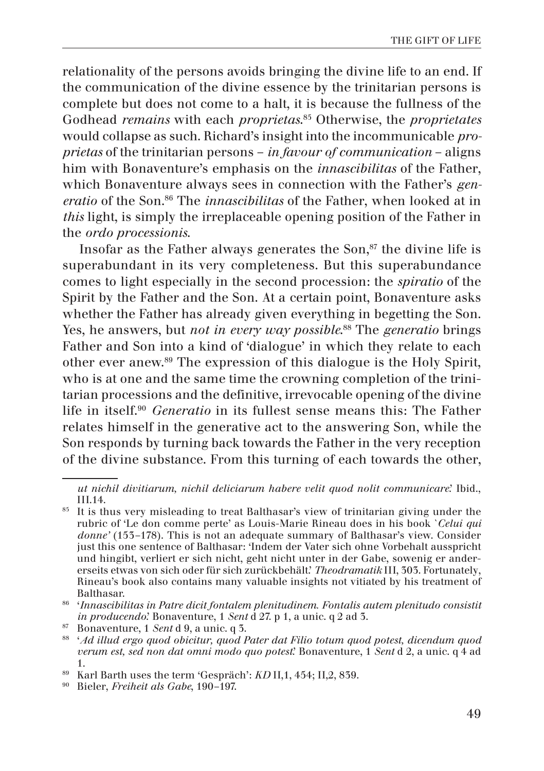relationality of the persons avoids bringing the divine life to an end. If the communication of the divine essence by the trinitarian persons is complete but does not come to a halt, it is because the fullness of the Godhead *remains* with each *proprietas*. 85 Otherwise, the *proprietates* would collapse as such. Richard's insight into the incommunicable *proprietas* of the trinitarian persons – *in favour of communication* – aligns him with Bonaventure's emphasis on the *innascibilitas* of the Father, which Bonaventure always sees in connection with the Father's *generatio* of the Son.86 The *innascibilitas* of the Father, when looked at in *this* light, is simply the irreplaceable opening position of the Father in the *ordo processionis*.

Insofar as the Father always generates the Son, $s<sup>7</sup>$  the divine life is superabundant in its very completeness. But this superabundance comes to light especially in the second procession: the *spiratio* of the Spirit by the Father and the Son. At a certain point, Bonaventure asks whether the Father has already given everything in begetting the Son. Yes, he answers, but *not in every way possible*. 88 The *generatio* brings Father and Son into a kind of 'dialogue' in which they relate to each other ever anew.89 The expression of this dialogue is the Holy Spirit, who is at one and the same time the crowning completion of the trinitarian processions and the definitive, irrevocable opening of the divine life in itself.90 *Generatio* in its fullest sense means this: The Father relates himself in the generative act to the answering Son, while the Son responds by turning back towards the Father in the very reception of the divine substance. From this turning of each towards the other,

*ut nichil divitiarum, nichil deliciarum habere velit quod nolit communicare*.' Ibid., III.14.

<sup>&</sup>lt;sup>85</sup> It is thus very misleading to treat Balthasar's view of trinitarian giving under the rubric of 'Le don comme perte' as Louis-Marie Rineau does in his book *`Celui qui donne'* (153–178). This is not an adequate summary of Balthasar's view. Consider just this one sentence of Balthasar: 'Indem der Vater sich ohne Vorbehalt ausspricht und hingibt, verliert er sich nicht, geht nicht unter in der Gabe, sowenig er andererseits etwas von sich oder für sich zurückbehält.' *Theodramatik* III, 303. Fortunately, Rineau's book also contains many valuable insights not vitiated by his treatment of Balthasar.

<sup>86</sup> '*Innascibilitas in Patre dicit fontalem plenitudinem. Fontalis autem plenitudo consistit in producendo*.' Bonaventure, 1 *Sent* d 27. p 1, a unic. q 2 ad 3.

<sup>&</sup>lt;sup>87</sup> Bonaventure, 1 *Sent* d 9, a unic. q 3.<br><sup>88</sup> *'Ad illud ergo quod obicitur, quod Pater dat Filio totum quod potest, dicendum quod verum est, sed non dat omni modo quo potest*.' Bonaventure, 1 *Sent* d 2, a unic. q 4 ad 1.

<sup>&</sup>lt;sup>89</sup> Karl Barth uses the term 'Gespräch': *KD* II,1, 454; II,2, 839.

<sup>90</sup> Bieler, *Freiheit als Gabe*, 190–197.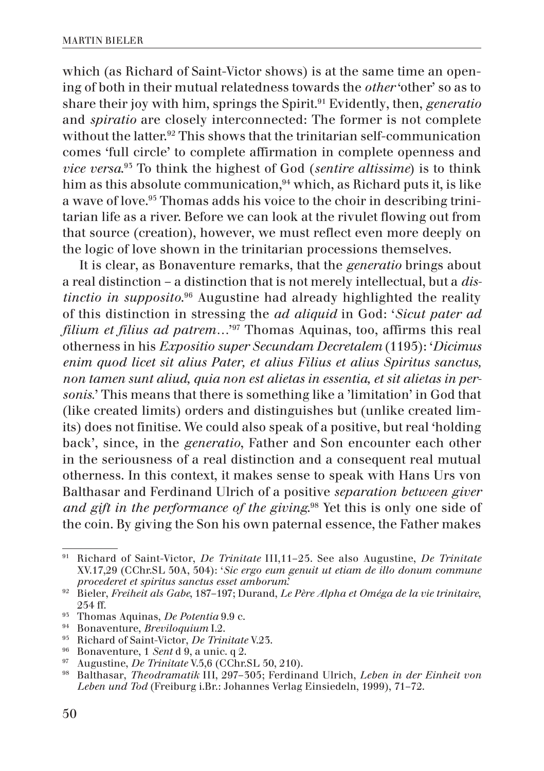which (as Richard of Saint-Victor shows) is at the same time an opening of both in their mutual relatedness towards the *other* 'other' so as to share their joy with him, springs the Spirit.91 Evidently, then, *generatio* and *spiratio* are closely interconnected: The former is not complete without the latter.92 This shows that the trinitarian self-communication comes 'full circle' to complete affirmation in complete openness and *vice versa*. 93 To think the highest of God (*sentire altissime*) is to think him as this absolute communication,<sup>94</sup> which, as Richard puts it, is like a wave of love.95 Thomas adds his voice to the choir in describing trinitarian life as a river. Before we can look at the rivulet flowing out from that source (creation), however, we must reflect even more deeply on the logic of love shown in the trinitarian processions themselves.

It is clear, as Bonaventure remarks, that the *generatio* brings about a real distinction – a distinction that is not merely intellectual, but a *distinctio in supposito*. 96 Augustine had already highlighted the reality of this distinction in stressing the *ad aliquid* in God: '*Sicut pater ad filium et filius ad patrem…*' 97 Thomas Aquinas, too, affirms this real otherness in his *Expositio super Secundam Decretalem* (1195): '*Dicimus enim quod licet sit alius Pater, et alius Filius et alius Spiritus sanctus, non tamen sunt aliud, quia non est alietas in essentia, et sit alietas in personis.*' This means that there is something like a 'limitation' in God that (like created limits) orders and distinguishes but (unlike created limits) does not finitise. We could also speak of a positive, but real 'holding back', since, in the *generatio*, Father and Son encounter each other in the seriousness of a real distinction and a consequent real mutual otherness. In this context, it makes sense to speak with Hans Urs von Balthasar and Ferdinand Ulrich of a positive *separation between giver and gift in the performance of the giving*. 98 Yet this is only one side of the coin. By giving the Son his own paternal essence, the Father makes

<sup>91</sup> Richard of Saint-Victor, *De Trinitate* III,11–25. See also Augustine, *De Trinitate* XV.17,29 (CChr.SL 50A, 504): '*Sic ergo eum genuit ut etiam de illo donum commune procederet et spiritus sanctus esset amborum*.'

<sup>92</sup> Bieler, *Freiheit als Gabe*, 187–197; Durand, *Le Père Alpha et Oméga de la vie trinitaire*, 254 ff.

<sup>93</sup> Thomas Aquinas, *De Potentia* 9.9 c.

<sup>94</sup> Bonaventure, *Breviloquium* I.2.

<sup>95</sup> Richard of Saint-Victor, *De Trinitate* V.23.

<sup>96</sup> Bonaventure, 1 *Sent* d 9, a unic. q 2.

<sup>97</sup> Augustine, *De Trinitate* V.5,6 (CChr.SL 50, 210).

<sup>98</sup> Balthasar, *Theodramatik* III, 297–305; Ferdinand Ulrich, *Leben in der Einheit von Leben und Tod* (Freiburg i.Br.: Johannes Verlag Einsiedeln, 1999), 71–72.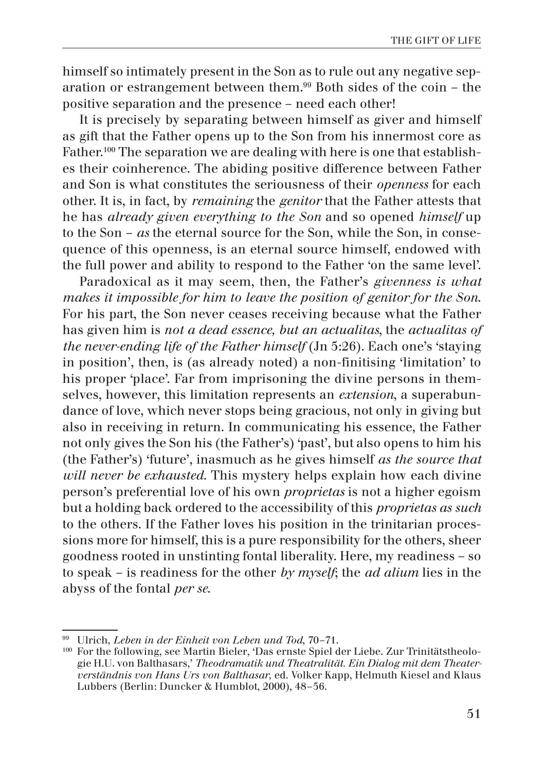himself so intimately present in the Son as to rule out any negative separation or estrangement between them.99 Both sides of the coin – the positive separation and the presence – need each other!

It is precisely by separating between himself as giver and himself as gift that the Father opens up to the Son from his innermost core as Father.<sup>100</sup> The separation we are dealing with here is one that establishes their coinherence. The abiding positive difference between Father and Son is what constitutes the seriousness of their *openness* for each other. It is, in fact, by *remaining* the *genitor* that the Father attests that he has *already given everything to the Son* and so opened *himself* up to the Son – *as* the eternal source for the Son, while the Son, in consequence of this openness, is an eternal source himself, endowed with the full power and ability to respond to the Father 'on the same level'.

Paradoxical as it may seem, then, the Father's *givenness is what makes it impossible for him to leave the position of genitor for the Son*. For his part, the Son never ceases receiving because what the Father has given him is *not a dead essence, but an actualitas*, the *actualitas of the never-ending life of the Father himself* (Jn 5:26). Each one's 'staying in position', then, is (as already noted) a non-finitising 'limitation' to his proper 'place'. Far from imprisoning the divine persons in themselves, however, this limitation represents an *extension*, a superabundance of love, which never stops being gracious, not only in giving but also in receiving in return. In communicating his essence, the Father not only gives the Son his (the Father's) 'past', but also opens to him his (the Father's) 'future', inasmuch as he gives himself *as the source that will never be exhausted*. This mystery helps explain how each divine person's preferential love of his own *proprietas* is not a higher egoism but a holding back ordered to the accessibility of this *proprietas as such* to the others. If the Father loves his position in the trinitarian processions more for himself, this is a pure responsibility for the others, sheer goodness rooted in unstinting fontal liberality. Here, my readiness – so to speak – is readiness for the other *by myself*; the *ad alium* lies in the abyss of the fontal *per se*.

<sup>99</sup> Ulrich, *Leben in der Einheit von Leben und Tod*, 70–71.

<sup>100</sup> For the following, see Martin Bieler, 'Das ernste Spiel der Liebe. Zur Trinitätstheologie H.U. von Balthasars,' *Theodramatik und Theatralität. Ein Dialog mit dem Theaterverständnis von Hans Urs von Balthasar,* ed. Volker Kapp, Helmuth Kiesel and Klaus Lubbers (Berlin: Duncker & Humblot, 2000), 48–56.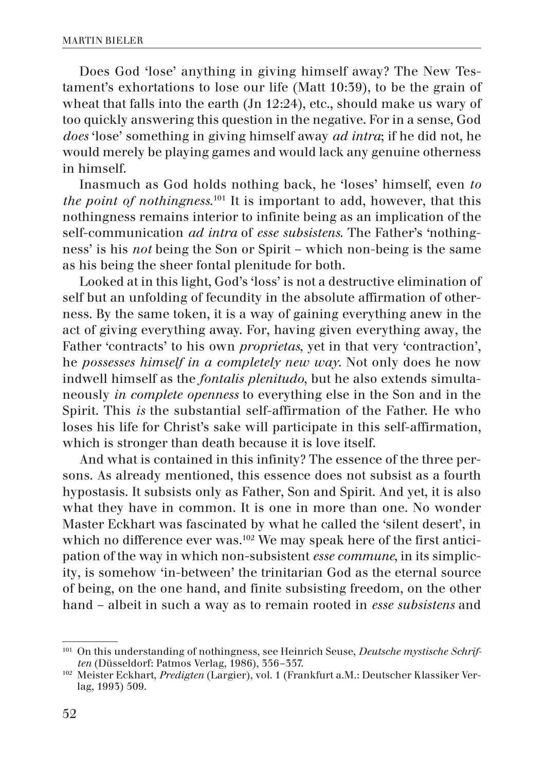Does God 'lose' anything in giving himself away? The New Testament's exhortations to lose our life (Matt 10:39), to be the grain of wheat that falls into the earth (Jn 12:24), etc., should make us wary of too quickly answering this question in the negative. For in a sense, God *does* 'lose' something in giving himself away *ad intra*; if he did not, he would merely be playing games and would lack any genuine otherness in himself.

Inasmuch as God holds nothing back, he 'loses' himself, even *to the point of nothingness*. 101 It is important to add, however, that this nothingness remains interior to infinite being as an implication of the self-communication *ad intra* of *esse subsistens*. The Father's 'nothingness' is his *not* being the Son or Spirit – which non-being is the same as his being the sheer fontal plenitude for both.

Looked at in this light, God's 'loss' is not a destructive elimination of self but an unfolding of fecundity in the absolute affirmation of otherness. By the same token, it is a way of gaining everything anew in the act of giving everything away. For, having given everything away, the Father 'contracts' to his own *proprietas*, yet in that very 'contraction', he *possesses himself in a completely new way*. Not only does he now indwell himself as the *fontalis plenitudo*, but he also extends simultaneously *in complete openness* to everything else in the Son and in the Spirit. This *is* the substantial self-affirmation of the Father. He who loses his life for Christ's sake will participate in this self-affirmation, which is stronger than death because it is love itself.

And what is contained in this infinity? The essence of the three persons. As already mentioned, this essence does not subsist as a fourth hypostasis. It subsists only as Father, Son and Spirit. And yet, it is also what they have in common. It is one in more than one. No wonder Master Eckhart was fascinated by what he called the 'silent desert', in which no difference ever was.<sup>102</sup> We may speak here of the first anticipation of the way in which non-subsistent *esse commune*, in its simplicity, is somehow 'in-between' the trinitarian God as the eternal source of being, on the one hand, and finite subsisting freedom, on the other hand – albeit in such a way as to remain rooted in *esse subsistens* and

<sup>101</sup> On this understanding of nothingness, see Heinrich Seuse, *Deutsche mystische Schriften* (Düsseldorf: Patmos Verlag, 1986), 356–357.

<sup>102</sup> Meister Eckhart, *Predigten* (Largier), vol. 1 (Frankfurt a.M.: Deutscher Klassiker Verlag, 1993) 509.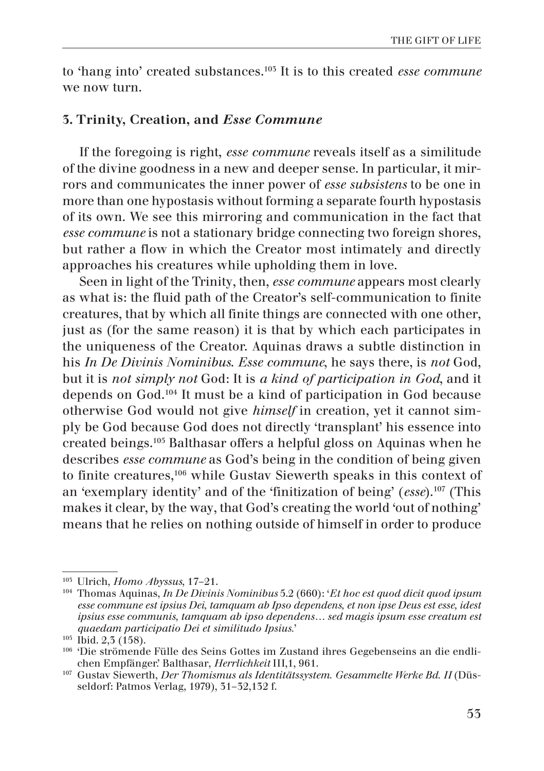to 'hang into' created substances.103 It is to this created *esse commune* we now turn.

## 3. Trinity, Creation, and *Esse Commune*

If the foregoing is right, *esse commune* reveals itself as a similitude of the divine goodness in a new and deeper sense. In particular, it mirrors and communicates the inner power of *esse subsistens* to be one in more than one hypostasis without forming a separate fourth hypostasis of its own. We see this mirroring and communication in the fact that *esse commune* is not a stationary bridge connecting two foreign shores, but rather a flow in which the Creator most intimately and directly approaches his creatures while upholding them in love.

Seen in light of the Trinity, then, *esse commune* appears most clearly as what is: the fluid path of the Creator's self-communication to finite creatures, that by which all finite things are connected with one other, just as (for the same reason) it is that by which each participates in the uniqueness of the Creator. Aquinas draws a subtle distinction in his *In De Divinis Nominibus*. *Esse commune*, he says there, is *not* God, but it is *not simply not* God: It is *a kind of participation in God*, and it depends on God.104 It must be a kind of participation in God because otherwise God would not give *himself* in creation, yet it cannot simply be God because God does not directly 'transplant' his essence into created beings.105 Balthasar offers a helpful gloss on Aquinas when he describes *esse commune* as God's being in the condition of being given to finite creatures,<sup>106</sup> while Gustav Siewerth speaks in this context of an 'exemplary identity' and of the 'finitization of being' (*esse*).107 (This makes it clear, by the way, that God's creating the world 'out of nothing' means that he relies on nothing outside of himself in order to produce

<sup>103</sup> Ulrich, *Homo Abyssus*, 17–21.

<sup>104</sup> Thomas Aquinas, *In De Divinis Nominibus* 5.2 (660): '*Et hoc est quod dicit quod ipsum esse commune est ipsius Dei, tamquam ab Ipso dependens, et non ipse Deus est esse, idest ipsius esse communis, tamquam ab ipso dependens… sed magis ipsum esse creatum est quaedam participatio Dei et similitudo Ipsius.*' 105 Ibid. 2,3 (158).

<sup>106</sup> 'Die strömende Fülle des Seins Gottes im Zustand ihres Gegebenseins an die endlichen Empfänger.' Balthasar, *Herrlichkeit* III,1, 961.

<sup>107</sup> Gustav Siewerth, *Der Thomismus als Identitätssystem. Gesammelte Werke Bd. II* (Düsseldorf: Patmos Verlag, 1979), 31–32,132 f.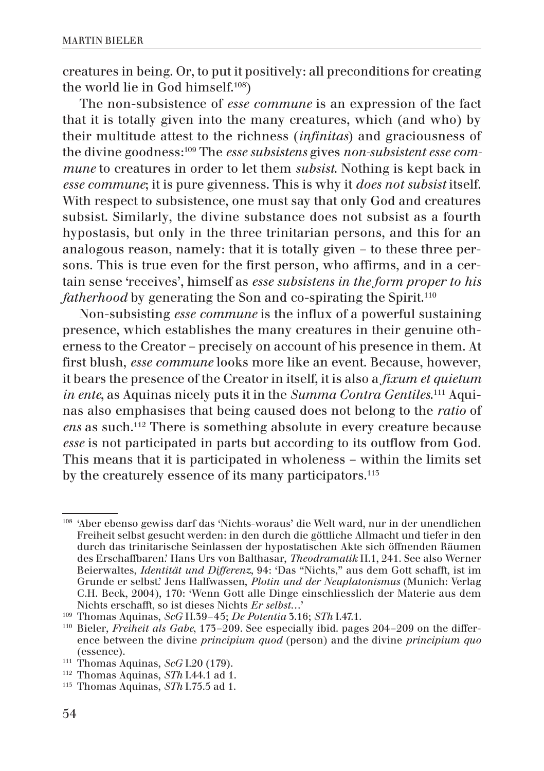creatures in being. Or, to put it positively: all preconditions for creating the world lie in God himself.108)

The non-subsistence of *esse commune* is an expression of the fact that it is totally given into the many creatures, which (and who) by their multitude attest to the richness (*infinitas*) and graciousness of the divine goodness:109 The *esse subsistens* gives *non-subsistent esse commune* to creatures in order to let them *subsist*. Nothing is kept back in *esse commune*; it is pure givenness. This is why it *does not subsist* itself. With respect to subsistence, one must say that only God and creatures subsist. Similarly, the divine substance does not subsist as a fourth hypostasis, but only in the three trinitarian persons, and this for an analogous reason, namely: that it is totally given – to these three persons. This is true even for the first person, who affirms, and in a certain sense 'receives', himself as *esse subsistens in the form proper to his fatherhood* by generating the Son and co-spirating the Spirit.<sup>110</sup>

Non-subsisting *esse commune* is the influx of a powerful sustaining presence, which establishes the many creatures in their genuine otherness to the Creator – precisely on account of his presence in them. At first blush, *esse commune* looks more like an event. Because, however, it bears the presence of the Creator in itself, it is also a *fixum et quietum in ente*, as Aquinas nicely puts it in the *Summa Contra Gentiles*. 111 Aquinas also emphasises that being caused does not belong to the *ratio* of *ens* as such.112 There is something absolute in every creature because *esse* is not participated in parts but according to its outflow from God. This means that it is participated in wholeness – within the limits set by the creaturely essence of its many participators.<sup>115</sup>

<sup>108</sup> 'Aber ebenso gewiss darf das 'Nichts-woraus' die Welt ward, nur in der unendlichen Freiheit selbst gesucht werden: in den durch die göttliche Allmacht und tiefer in den durch das trinitarische Seinlassen der hypostatischen Akte sich öffnenden Räumen des Erschaffbaren.' Hans Urs von Balthasar, *Theodramatik* II.1, 241. See also Werner Beierwaltes, *Identität und Differenz*, 94: 'Das "Nichts," aus dem Gott schafft, ist im Grunde er selbst.' Jens Halfwassen, *Plotin und der Neuplatonismus* (Munich: Verlag C.H. Beck, 2004), 170: 'Wenn Gott alle Dinge einschliesslich der Materie aus dem Nichts erschafft, so ist dieses Nichts *Er selbst*…'

<sup>109</sup> Thomas Aquinas, *ScG* II.39–45; *De Potentia* 3.16; *STh* I.47.1.

<sup>110</sup> Bieler, *Freiheit als Gabe*, 173–209. See especially ibid. pages 204–209 on the difference between the divine *principium quod* (person) and the divine *principium quo* (essence).

<sup>111</sup> Thomas Aquinas, *ScG* I.20 (179).

<sup>112</sup> Thomas Aquinas, *STh* I.44.1 ad 1.

<sup>113</sup> Thomas Aquinas, *STh* I.75.5 ad 1.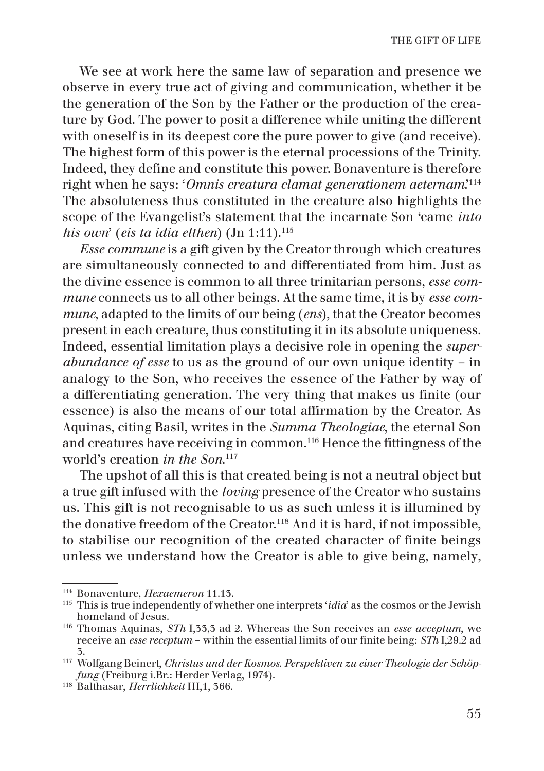We see at work here the same law of separation and presence we observe in every true act of giving and communication, whether it be the generation of the Son by the Father or the production of the creature by God. The power to posit a difference while uniting the different with oneself is in its deepest core the pure power to give (and receive). The highest form of this power is the eternal processions of the Trinity. Indeed, they define and constitute this power. Bonaventure is therefore right when he says: '*Omnis creatura clamat generationem aeternam*.'114 The absoluteness thus constituted in the creature also highlights the scope of the Evangelist's statement that the incarnate Son 'came *into his own*' (*eis ta idia elthen*) (Jn 1:11).115

*Esse commune* is a gift given by the Creator through which creatures are simultaneously connected to and differentiated from him. Just as the divine essence is common to all three trinitarian persons, *esse commune* connects us to all other beings. At the same time, it is by *esse commune*, adapted to the limits of our being (*ens*), that the Creator becomes present in each creature, thus constituting it in its absolute uniqueness. Indeed, essential limitation plays a decisive role in opening the *superabundance of esse* to us as the ground of our own unique identity – in analogy to the Son, who receives the essence of the Father by way of a differentiating generation. The very thing that makes us finite (our essence) is also the means of our total affirmation by the Creator. As Aquinas, citing Basil, writes in the *Summa Theologiae*, the eternal Son and creatures have receiving in common.116 Hence the fittingness of the world's creation *in the Son*. 117

The upshot of all this is that created being is not a neutral object but a true gift infused with the *loving* presence of the Creator who sustains us. This gift is not recognisable to us as such unless it is illumined by the donative freedom of the Creator.118 And it is hard, if not impossible, to stabilise our recognition of the created character of finite beings unless we understand how the Creator is able to give being, namely,

<sup>114</sup> Bonaventure, *Hexaemeron* 11.13.

<sup>115</sup> This is true independently of whether one interprets '*idia*' as the cosmos or the Jewish homeland of Jesus.

<sup>116</sup> Thomas Aquinas, *STh* I,33,3 ad 2. Whereas the Son receives an *esse acceptum*, we receive an *esse receptum* – within the essential limits of our finite being: *STh* I,29.2 ad 3.

<sup>117</sup> Wolfgang Beinert, *Christus und der Kosmos. Perspektiven zu einer Theologie der Schöpfung* (Freiburg i.Br.: Herder Verlag, 1974).

<sup>118</sup> Balthasar, *Herrlichkeit* III,1, 366.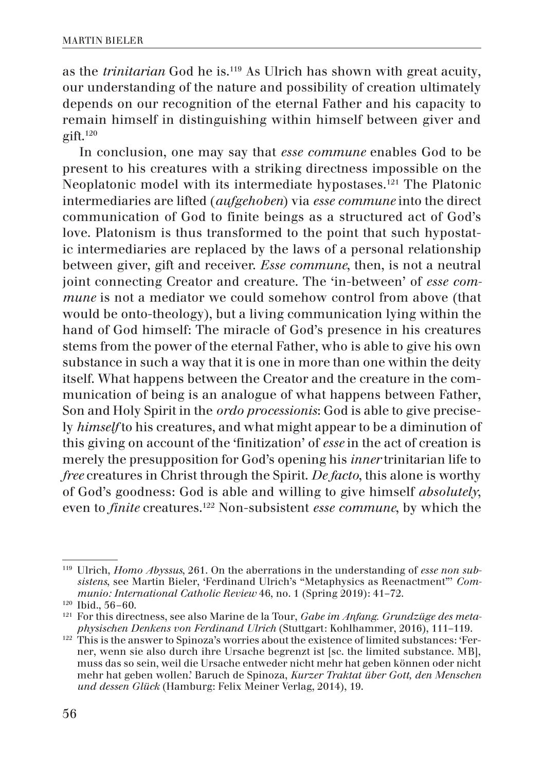as the *trinitarian* God he is.119 As Ulrich has shown with great acuity, our understanding of the nature and possibility of creation ultimately depends on our recognition of the eternal Father and his capacity to remain himself in distinguishing within himself between giver and  $grift.120$ 

In conclusion, one may say that *esse commune* enables God to be present to his creatures with a striking directness impossible on the Neoplatonic model with its intermediate hypostases.121 The Platonic intermediaries are lifted (*aufgehoben*) via *esse commune* into the direct communication of God to finite beings as a structured act of God's love. Platonism is thus transformed to the point that such hypostatic intermediaries are replaced by the laws of a personal relationship between giver, gift and receiver. *Esse commune*, then, is not a neutral joint connecting Creator and creature. The 'in-between' of *esse commune* is not a mediator we could somehow control from above (that would be onto-theology), but a living communication lying within the hand of God himself: The miracle of God's presence in his creatures stems from the power of the eternal Father, who is able to give his own substance in such a way that it is one in more than one within the deity itself. What happens between the Creator and the creature in the communication of being is an analogue of what happens between Father, Son and Holy Spirit in the *ordo processionis*: God is able to give precisely *himself* to his creatures, and what might appear to be a diminution of this giving on account of the 'finitization' of *esse* in the act of creation is merely the presupposition for God's opening his *inner* trinitarian life to *free* creatures in Christ through the Spirit. *De facto*, this alone is worthy of God's goodness: God is able and willing to give himself *absolutely*, even to *finite* creatures.122 Non-subsistent *esse commune*, by which the

<sup>119</sup> Ulrich, *Homo Abyssus*, 261. On the aberrations in the understanding of *esse non subsistens*, see Martin Bieler, 'Ferdinand Ulrich's "Metaphysics as Reenactment"' *Communio: International Catholic Review* 46, no. 1 (Spring 2019): 41–72.<br><sup>120</sup> Ibid., 56–60.

<sup>121</sup> For this directness, see also Marine de la Tour, *Gabe im Anfang. Grundzüge des metaphysischen Denkens von Ferdinand Ulrich* (Stuttgart: Kohlhammer, 2016), 111–119.

<sup>&</sup>lt;sup>122</sup> This is the answer to Spinoza's worries about the existence of limited substances: 'Ferner, wenn sie also durch ihre Ursache begrenzt ist [sc. the limited substance. MB], muss das so sein, weil die Ursache entweder nicht mehr hat geben können oder nicht mehr hat geben wollen.' Baruch de Spinoza, *Kurzer Traktat über Gott, den Menschen und dessen Glück* (Hamburg: Felix Meiner Verlag, 2014), 19.